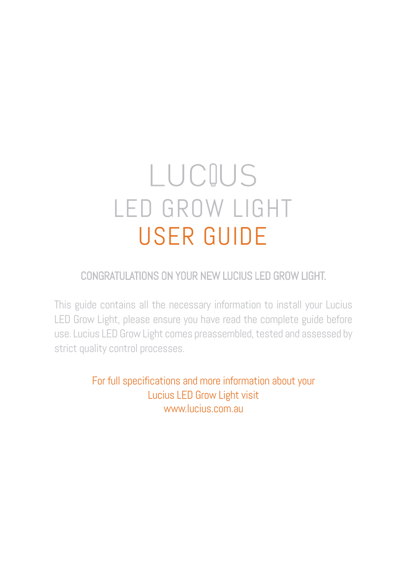# LUCIUS LED GROW LIGHT USER GUIDE

# CONGRATULATIONS ON YOUR NEW LUCIUS LED GROW LIGHT.

This guide contains all the necessary information to install your Lucius LED Grow Light, please ensure you have read the complete guide before use. Lucius LED Grow Light comes preassembled, tested and assessed by strict quality control processes.

> For full specifications and more information about your Lucius LED Grow Light visit www.lucius.com.au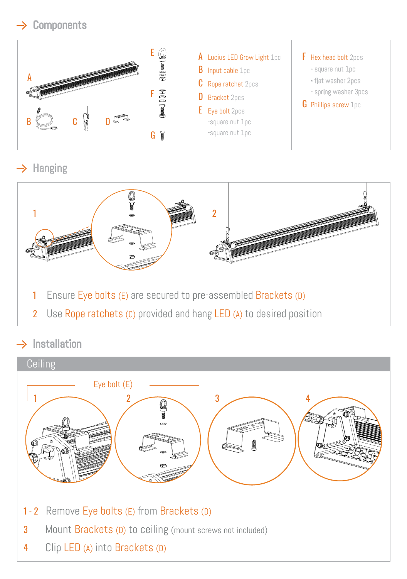# $\rightarrow$  Components



## $\rightarrow$  Hanging



 $\rightarrow$  Installation

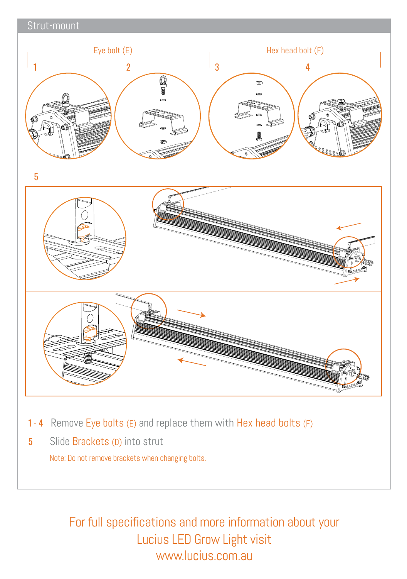

- 1 4 Remove Eye bolts (E) and replace them with Hex head bolts (F)
- 5 Slide Brackets (D) into strut

Note: Do not remove brackets when changing bolts.

For full specifications and more information about your Lucius LED Grow Light visit www.lucius.com.au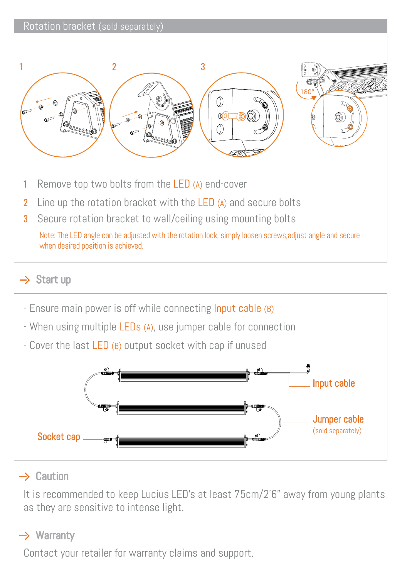#### Rotation bracket (sold separately)



Note: The LED angle can be adjusted with the rotation lock, simply loosen screws,adjust angle and secure

when desired position is achieved.

#### $\rightarrow$  Start up



#### $\rightarrow$  Caution

It is recommended to keep Lucius LED's at least 75cm/2'6" away from young plants as they are sensitive to intense light.

### $\rightarrow$  Warranty

Contact your retailer for warranty claims and support.